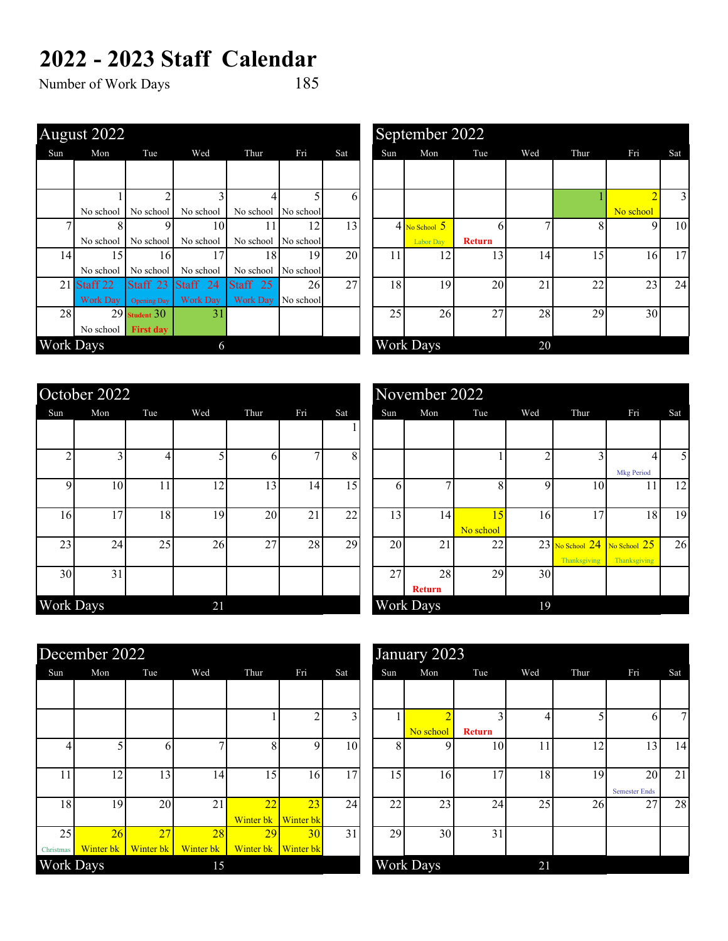## **2022 - 2023 Staff Calendar**<br>Number of Work Days 185

Number of Work Days

|                  | August 2022              |                    |                   |                     |           |                 |     | September 2022    |               |     |      |           |     |
|------------------|--------------------------|--------------------|-------------------|---------------------|-----------|-----------------|-----|-------------------|---------------|-----|------|-----------|-----|
| Sun              | Mon                      | Tue                | Wed               | Thur                | Fri       | Sat             | Sun | Mon               | Tue           | Wed | Thur | Fri       | Sat |
|                  |                          |                    |                   |                     |           |                 |     |                   |               |     |      |           |     |
|                  |                          |                    |                   |                     |           |                 |     |                   |               |     |      |           |     |
|                  |                          | $\overline{2}$     | $\mathbf{\Gamma}$ |                     |           | 6               |     |                   |               |     |      |           |     |
|                  | No school                | No school          | No school         | No school           | No school |                 |     |                   |               |     |      | No school |     |
|                  | 8                        | 9                  | 10                | 11                  | 12        | 13 <sub>1</sub> |     | $4$ No School $5$ | 6             |     |      | 9         |     |
|                  | No school                | No school          | No school         | No school           | No school |                 |     | <b>Labor Day</b>  | <b>Return</b> |     |      |           |     |
| 14 <sub>l</sub>  | 15                       | 16                 | 17                | 18                  | 19        | 20              | 11  | 12                | 13            | 14  | 15   | 16        |     |
|                  | No school                | No school          | No school         | No school           | No school |                 |     |                   |               |     |      |           |     |
| 21               | Staff <sub>22</sub>      | Staff 23           | Staff 24          | Staff <sub>25</sub> | 26        | 27              | 18  | 19                | 20            | 21  | 22   | 23        | 2   |
|                  | <b>Work Day</b>          | <b>Opening Day</b> | <b>Work Day</b>   | <b>Work Day</b>     | No school |                 |     |                   |               |     |      |           |     |
| 28 <sup>1</sup>  |                          | $29$ Student $30$  | 31                |                     |           |                 | 25  | 26                | 27            | 28  | 29   | 30        |     |
|                  | No school $\blacksquare$ | <b>First day</b>   |                   |                     |           |                 |     |                   |               |     |      |           |     |
| <b>Work Days</b> |                          |                    | 6                 |                     |           |                 |     | <b>Work Days</b>  |               | 20  |      |           |     |
|                  |                          |                    |                   |                     |           |                 |     |                   |               |     |      |           |     |

|    | gust $2022$     |                    |                     |                 |                 |     |     | September 2022    |               |     |      |                |                |
|----|-----------------|--------------------|---------------------|-----------------|-----------------|-----|-----|-------------------|---------------|-----|------|----------------|----------------|
|    | Mon             | Tue                | Wed                 | Thur            | Fri             | Sat | Sun | Mon               | Tue           | Wed | Thur | Fri            | Sat            |
|    |                 |                    |                     |                 |                 |     |     |                   |               |     |      |                |                |
|    |                 |                    |                     |                 |                 | 6   |     |                   |               |     |      | $\overline{2}$ | $\overline{3}$ |
|    | No school       | No school          | No school           | No school       | No school       |     |     |                   |               |     |      | No school      |                |
| 7  |                 | 9                  | 10                  |                 | 12              | 13  |     | $4$ No School $5$ | <sub>b</sub>  |     |      | 9              | 10             |
|    | No school       | No school          | No school           | No school       | No school       |     |     | <b>Labor Day</b>  | <b>Return</b> |     |      |                |                |
| 14 | 15              | 16                 | 17                  | 18 <sup>1</sup> | 19              | 20  | 11  | 12                | 13            | 14  | 15   | 16             | 17             |
|    | No school       | No school          | No school           | No school       | No school       |     |     |                   |               |     |      |                |                |
|    | 21 Staff 22     | Staff 23           | Staff <sub>24</sub> | Staff 25        | 26 <sup>1</sup> | 27  | 18  | 19                | 20            | 21  | 22   | 23             | 24             |
|    | <b>Work Day</b> | <b>Opening Day</b> | <b>Work Day</b>     | <b>Work Day</b> | No school       |     |     |                   |               |     |      |                |                |
| 28 |                 | $29$ Student $30$  | 31                  |                 |                 |     | 25  | 26                | 27            | 28  | 29   | 30             |                |
|    | No school       | <b>First day</b>   |                     |                 |                 |     |     |                   |               |     |      |                |                |
|    | rk Days         |                    | 6                   |                 |                 |     |     | <b>Work Days</b>  |               | 20  |      |                |                |

|           | October 2022 |     |     |      |              |     |     | November 2022       |                 |             |                     |                                                    |                |
|-----------|--------------|-----|-----|------|--------------|-----|-----|---------------------|-----------------|-------------|---------------------|----------------------------------------------------|----------------|
| Sun       | Mon          | Tue | Wed | Thur | Fri          | Sat | Sun | Mon                 | Tue             | Wed         | Thur                | Fri                                                | Sat            |
|           |              |     |     |      |              |     |     |                     |                 |             |                     |                                                    |                |
|           |              | Δ   |     | h    | $\mathbf{r}$ | 8   |     |                     |                 | $\sim$      |                     | <b>Mkg Period</b>                                  |                |
| Q         | 10           | 11  | 12  | 13   | 14           | 15  | 6   |                     | 8               | $\mathbf Q$ | 10                  | 11                                                 |                |
| 16        | 17           | 18  | 19  | 20   | 21           | 22  | 13  | 14                  | 15<br>No school | 16          | 17                  | 18                                                 |                |
| 23        | 24           | 25  | 26  | 27   | 28           | 29  | 20  | 21                  | 22              |             | <b>Thanksgiving</b> | $23$ No School $24$ No School $25$<br>Thanksgiving | $\overline{2}$ |
| 30        | 31           |     |     |      |              |     | 27  | 28<br><b>Return</b> | 29              | 30          |                     |                                                    |                |
| Work Days |              |     | 21  |      |              |     |     | <b>Work Days</b>    |                 | 19          |                     |                                                    |                |

|    | tober 2022 |     |     |      |     |     |     | November 2022       |                 |     |                                     |                              |     |
|----|------------|-----|-----|------|-----|-----|-----|---------------------|-----------------|-----|-------------------------------------|------------------------------|-----|
|    | Mon        | Tue | Wed | Thur | Fri | Sat | Sun | Mon                 | Tue             | Wed | Thur                                | Fri                          | Sat |
|    |            |     |     |      |     |     |     |                     |                 |     |                                     |                              |     |
| 2  | 3          | 4   |     | n.   | ⇁   | 8   |     |                     |                 | C   |                                     | <b>Mkg Period</b>            | 5   |
| 9  | 10         | 11  | 12  | 13   | 14  | 15  | 6   |                     | 8               | 9   | 10                                  | 11                           | 12  |
| 16 | 17         | 18  | 19  | 20   | 21  | 22  | 13  | 14                  | 15<br>No school | 16  | 17                                  | 18                           | 19  |
| 23 | 24         | 25  | 26  | 27   | 28  | 29  | 20  | 21                  | 22              |     | $23$ No School $24$<br>Thanksgiving | No School 25<br>Thanksgiving | 26  |
| 30 | 31         |     |     |      |     |     | 27  | 28<br><b>Return</b> | 29              | 30  |                                     |                              |     |
|    | rk Days    |     | 21  |      |     |     |     | <b>Work Days</b>    |                 | 19  |                                     |                              |     |

|           | December 2022 |           |              |                     |                 |     |     | January 2023     |               |              |      |                      |                |
|-----------|---------------|-----------|--------------|---------------------|-----------------|-----|-----|------------------|---------------|--------------|------|----------------------|----------------|
| Sun       | Mon           | Tue       | Wed          | Thur                | Fri             | Sat | Sun | Mon              | Tue           | Wed          | Thur | Fri                  | Sat            |
|           |               |           |              |                     |                 |     |     |                  |               |              |      |                      |                |
|           |               |           |              |                     | ↑               | 3   |     |                  |               |              |      | h.                   |                |
|           |               |           |              |                     |                 |     |     | No school        | <b>Return</b> |              |      |                      |                |
|           |               | 6         | $\mathbf{r}$ | 8                   | 9               | 10  | 8   | Q                | 10            | $\mathbf{1}$ | 12   | 13                   |                |
|           |               |           |              |                     |                 |     |     |                  |               |              |      |                      |                |
| 11        | 12            | 13        | 14           | 15                  | 16              | 17  | 15  | 16               | 17            | 18           | 19   | 20                   | $\overline{c}$ |
|           |               |           |              |                     |                 |     |     |                  |               |              |      | <b>Semester Ends</b> |                |
| 18        | 19            | 20        | 21           | 22                  | 23              | 24  | 22  | 23               | 24            | 25           | 26   | 27                   | 2              |
|           |               |           |              | Winter bk Winter bk |                 |     |     |                  |               |              |      |                      |                |
| 25        | 26            | 27        | 28           | 29                  | 30 <sup>°</sup> | 31  | 29  | 30               | 31            |              |      |                      |                |
| Christmas | Winter bk     | Winter bk | Winter bk    | Winter bk Winter bk |                 |     |     |                  |               |              |      |                      |                |
| Work Days |               |           | 15           |                     |                 |     |     | <b>Work Days</b> |               | 21           |      |                      |                |

|     | cember 2022 |           |              |                           |                  |     |     | January 2023     |               |     |      |                            |                |
|-----|-------------|-----------|--------------|---------------------------|------------------|-----|-----|------------------|---------------|-----|------|----------------------------|----------------|
|     | Mon         | Tue       | Wed          | Thur                      | Fri              | Sat | Sun | Mon              | Tue           | Wed | Thur | Fri                        | Sat            |
|     |             |           |              |                           |                  |     |     |                  |               |     |      |                            |                |
|     |             |           |              |                           | $\overline{2}$   | 3   |     |                  |               |     |      | 6                          | 7 <sup>1</sup> |
|     |             |           |              |                           |                  |     |     | No school        | <b>Return</b> |     |      |                            |                |
| 4   |             | 6         | $\mathbf{r}$ | 8                         | 9                | 10  | 8   | 9                | 10            | 11  | 12   | 13                         | 14             |
| 11  | 12          | 13        | 14           | 15                        | 16               | 17  | 15  | 16               | 17            | 18  | 19   | 20<br><b>Semester Ends</b> | 21             |
| 18  | 19          | 20        | 21           | 22<br>Winter bk Winter bk | 23               | 24  | 22  | 23               | 24            | 25  | 26   | 27                         | 28             |
| 25  | 26          | 27        | 28           | <b>29</b>                 | 30 <sup>°</sup>  | 31  | 29  | 30               | 31            |     |      |                            |                |
| mas | Winter bk   | Winter bk | Winter bk    | Winter bk                 | <b>Winter bk</b> |     |     |                  |               |     |      |                            |                |
|     | rk Days     |           | 15           |                           |                  |     |     | <b>Work Days</b> |               | 21  |      |                            |                |